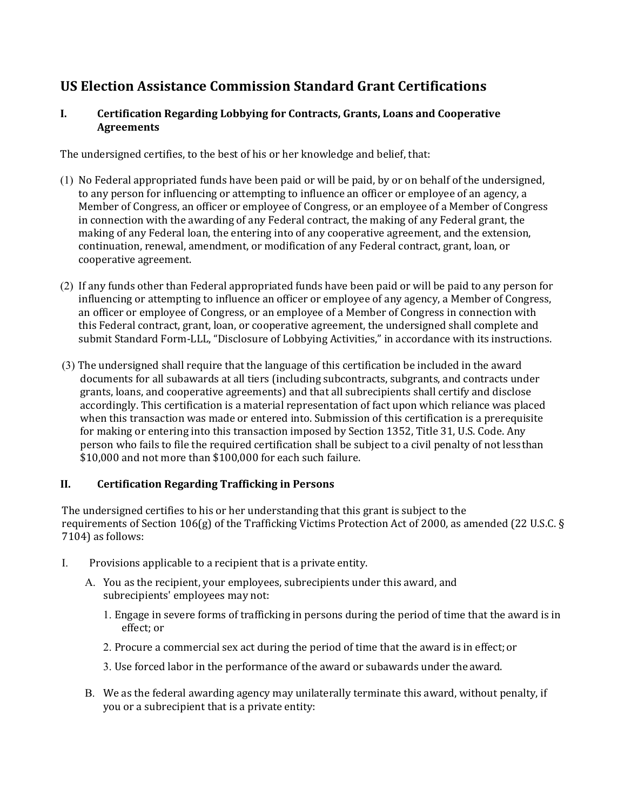# **US Election Assistance Commission Standard Grant Certifications**

## **I. Certification Regarding Lobbying for Contracts, Grants, Loans and Cooperative Agreements**

The undersigned certifies, to the best of his or her knowledge and belief, that:

- (1) No Federal appropriated funds have been paid or will be paid, by or on behalf of the undersigned, to any person for influencing or attempting to influence an officer or employee of an agency, a Member of Congress, an officer or employee of Congress, or an employee of a Member of Congress in connection with the awarding of any Federal contract, the making of any Federal grant, the making of any Federal loan, the entering into of any cooperative agreement, and the extension, continuation, renewal, amendment, or modification of any Federal contract, grant, loan, or cooperative agreement.
- (2) If any funds other than Federal appropriated funds have been paid or will be paid to any person for influencing or attempting to influence an officer or employee of any agency, a Member of Congress, an officer or employee of Congress, or an employee of a Member of Congress in connection with this Federal contract, grant, loan, or cooperative agreement, the undersigned shall complete and submit Standard Form-LLL, "Disclosure of Lobbying Activities," in accordance with its instructions.
- (3) The undersigned shall require that the language of this certification be included in the award documents for all subawards at all tiers (including subcontracts, subgrants, and contracts under grants, loans, and cooperative agreements) and that all subrecipients shall certify and disclose accordingly. This certification is a material representation of fact upon which reliance was placed when this transaction was made or entered into. Submission of this certification is a prerequisite for making or entering into this transaction imposed by Section 1352, Title 31, U.S. Code. Any person who fails to file the required certification shall be subject to a civil penalty of not lessthan \$10,000 and not more than \$100,000 for each such failure.

## **II. Certification Regarding Trafficking in Persons**

The undersigned certifies to his or her understanding that this grant is subject to the requirements of Section 106(g) of the Trafficking Victims Protection Act of 2000, as amended (22 U.S.C. § 7104) as follows:

- I. Provisions applicable to a recipient that is a private entity.
	- A. You as the recipient, your employees, subrecipients under this award, and subrecipients' employees may not:
		- 1. Engage in severe forms of trafficking in persons during the period of time that the award is in effect; or
		- 2. Procure a commercial sex act during the period of time that the award is in effect; or
		- 3. Use forced labor in the performance of the award or subawards under the award.
	- B. We as the federal awarding agency may unilaterally terminate this award, without penalty, if you or a subrecipient that is a private entity: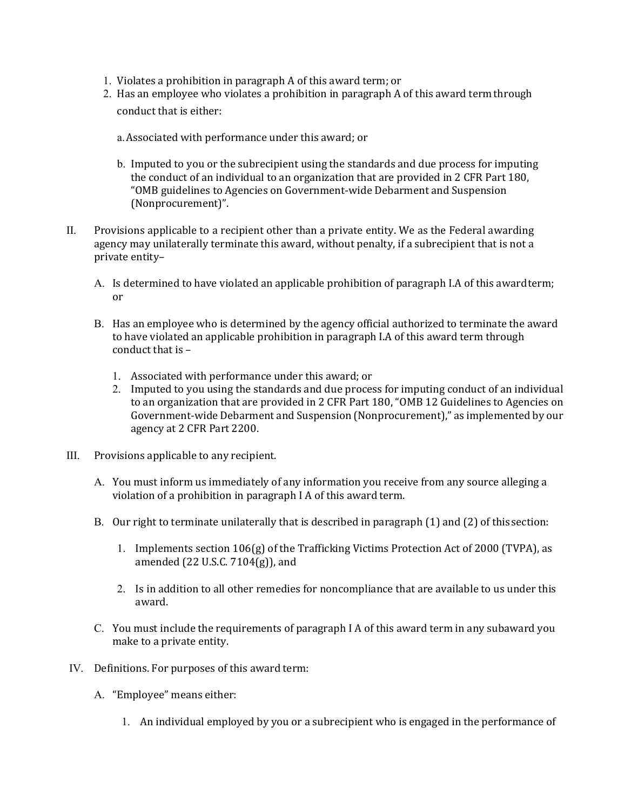- 1. Violates a prohibition in paragraph A of this award term; or
- 2. Has an employee who violates a prohibition in paragraph A of this award termthrough conduct that is either:
	- a.Associated with performance under this award; or
	- b. Imputed to you or the subrecipient using the standards and due process for imputing the conduct of an individual to an organization that are provided in 2 CFR Part 180, "OMB guidelines to Agencies on Government-wide Debarment and Suspension (Nonprocurement)".
- II. Provisions applicable to a recipient other than a private entity. We as the Federal awarding agency may unilaterally terminate this award, without penalty, if a subrecipient that is not a private entity–
	- A. Is determined to have violated an applicable prohibition of paragraph I.A of this awardterm; or
	- B. Has an employee who is determined by the agency official authorized to terminate the award to have violated an applicable prohibition in paragraph I.A of this award term through conduct that is –
		- 1. Associated with performance under this award; or
		- 2. Imputed to you using the standards and due process for imputing conduct of an individual to an organization that are provided in 2 CFR Part 180, "OMB 12 Guidelines to Agencies on Government-wide Debarment and Suspension (Nonprocurement)," as implemented by our agency at 2 CFR Part 2200.
- III. Provisions applicable to any recipient.
	- A. You must inform us immediately of any information you receive from any source alleging a violation of a prohibition in paragraph I A of this award term.
	- B. Our right to terminate unilaterally that is described in paragraph (1) and (2) of thissection:
		- 1. Implements section 106(g) of the Trafficking Victims Protection Act of 2000 (TVPA), as amended (22 U.S.C. 7104(g)), and
		- 2. Is in addition to all other remedies for noncompliance that are available to us under this award.
	- C. You must include the requirements of paragraph I A of this award term in any subaward you make to a private entity.
- IV. Definitions. For purposes of this award term:
	- A. "Employee" means either:
		- 1. An individual employed by you or a subrecipient who is engaged in the performance of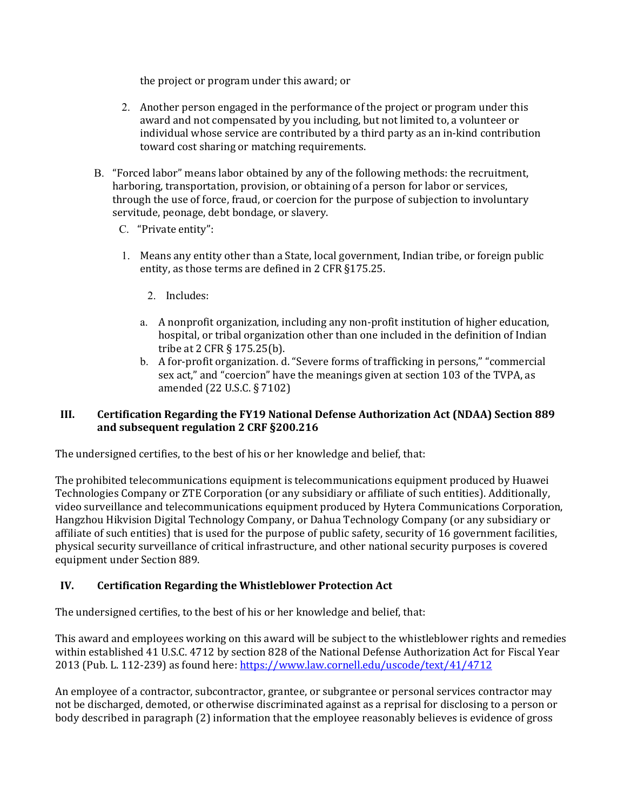the project or program under this award; or

- 2. Another person engaged in the performance of the project or program under this award and not compensated by you including, but not limited to, a volunteer or individual whose service are contributed by a third party as an in-kind contribution toward cost sharing or matching requirements.
- B. "Forced labor" means labor obtained by any of the following methods: the recruitment, harboring, transportation, provision, or obtaining of a person for labor or services, through the use of force, fraud, or coercion for the purpose of subjection to involuntary servitude, peonage, debt bondage, or slavery.
	- C. "Private entity":
	- 1. Means any entity other than a State, local government, Indian tribe, or foreign public entity, as those terms are defined in 2 CFR §175.25.
		- 2. Includes:
		- a. A nonprofit organization, including any non-profit institution of higher education, hospital, or tribal organization other than one included in the definition of Indian tribe at 2 CFR § 175.25(b).
		- b. A for-profit organization. d. "Severe forms of trafficking in persons," "commercial sex act," and "coercion" have the meanings given at section 103 of the TVPA, as amended (22 U.S.C. § 7102)

## **III. Certification Regarding the FY19 National Defense Authorization Act (NDAA) Section 889 and subsequent regulation 2 CRF §200.216**

The undersigned certifies, to the best of his or her knowledge and belief, that:

The prohibited telecommunications equipment is telecommunications equipment produced by Huawei Technologies Company or ZTE Corporation (or any subsidiary or affiliate of such entities). Additionally, video surveillance and telecommunications equipment produced by Hytera Communications Corporation, Hangzhou Hikvision Digital Technology Company, or Dahua Technology Company (or any subsidiary or affiliate of such entities) that is used for the purpose of public safety, security of 16 government facilities, physical security surveillance of critical infrastructure, and other national security purposes is covered equipment under Section 889.

## **IV. Certification Regarding the Whistleblower Protection Act**

The undersigned certifies, to the best of his or her knowledge and belief, that:

This award and employees working on this award will be subject to the whistleblower rights and remedies within established 41 U.S.C. 4712 by section 828 of the National Defense Authorization Act for Fiscal Year 2013 (Pub. L. 112-239) as found here[: https://www.law.cornell.edu/uscode/text/41/4712](https://www.law.cornell.edu/uscode/text/41/4712) 

An employee of a contractor, subcontractor, grantee, or subgrantee or personal services contractor may not be discharged, demoted, or otherwise discriminated against as a reprisal for disclosing to a person or body described in paragraph (2) information that the employee reasonably believes is evidence of gross